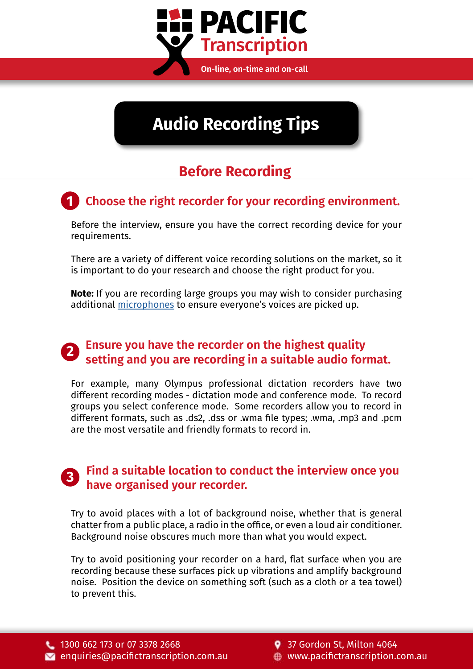

# **Audio Recording Tips**

## **Before Recording**

# **1 Choose the right recorder for your recording environment.**

Before the interview, ensure you have the correct recording device for your requirements.

There are a variety of different voice recording solutions on the market, so it is important to do your research and choose the right product for you.

**Note:** If you are recording large groups you may wish to consider purchasing additional [microphones](https://www.pacifictranscription.com.au/product-category/microphones-accessories/) to ensure everyone's voices are picked up.

# **Ensure you have the recorder on the highest quality setting and you are recording in a suitable audio format. <sup>2</sup>**

For example, many Olympus professional dictation recorders have two different recording modes - dictation mode and conference mode. To record groups you select conference mode. Some recorders allow you to record in different formats, such as .ds2, .dss or .wma file types; .wma, .mp3 and .pcm are the most versatile and friendly formats to record in.

#### **Find a suitable location to conduct the interview once you have organised your recorder. <sup>3</sup>**

Try to avoid places with a lot of background noise, whether that is general chatter from a public place, a radio in the office, or even a loud air conditioner. Background noise obscures much more than what you would expect.

Try to avoid positioning your recorder on a hard, flat surface when you are recording because these surfaces pick up vibrations and amplify background noise. Position the device on something soft (such as a cloth or a tea towel) to prevent this.

9 37 Gordon St, Milton 4064 www.pacifictranscription.com.au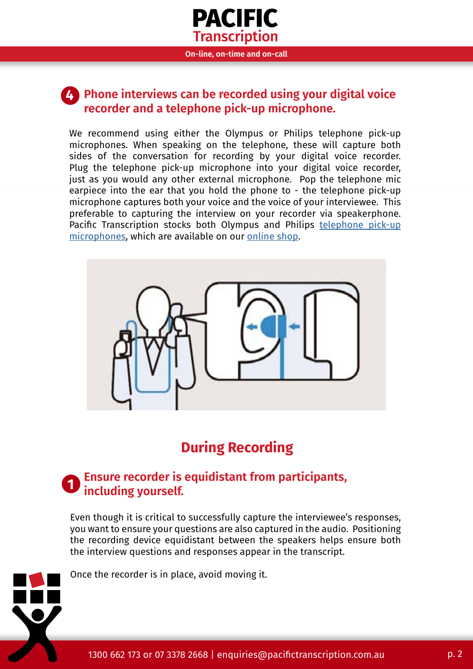

#### **Phone interviews can be recorded using your digital voice recorder and a telephone pick-up microphone. 4**

We recommend using either the Olympus or Philips telephone pick-up microphones. When speaking on the telephone, these will capture both sides of the conversation for recording by your digital voice recorder. Plug the telephone pick-up microphone into your digital voice recorder, just as you would any other external microphone. Pop the telephone mic earpiece into the ear that you hold the phone to - the telephone pick-up microphone captures both your voice and the voice of your interviewee. This preferable to capturing the interview on your recorder via speakerphone. Pacific Transcription stocks both Olympus and Philips [telephone pick-up](https://www.pacifictranscription.com.au/?s=telephone+pickup+microphone&post_type=product)  [microphones](https://www.pacifictranscription.com.au/?s=telephone+pickup+microphone&post_type=product), which are available on our [online shop](https://www.pacifictranscription.com.au/shop/).



# **During Recording**

#### **Ensure recorder is equidistant from participants,**   $\blacksquare$  including vourself.

Even though it is critical to successfully capture the interviewee's responses, you want to ensure your questions are also captured in the audio. Positioning the recording device equidistant between the speakers helps ensure both the interview questions and responses appear in the transcript.

Once the recorder is in place, avoid moving it.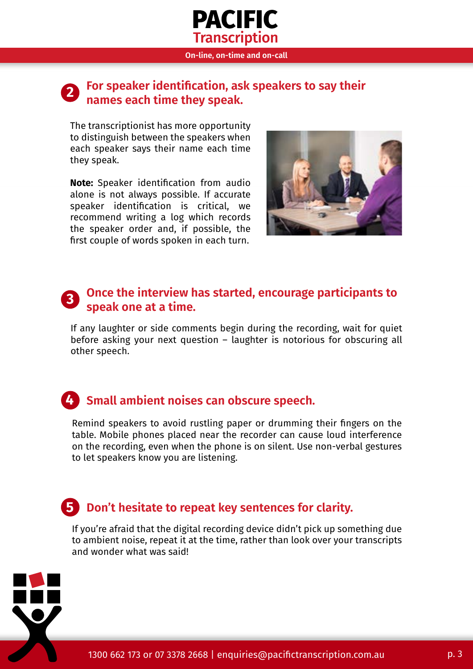

#### **For speaker identification, ask speakers to say their names each time they speak. <sup>2</sup>**

The transcriptionist has more opportunity to distinguish between the speakers when each speaker says their name each time they speak.

**Note:** Speaker identification from audio alone is not always possible. If accurate speaker identification is critical, we recommend writing a log which records the speaker order and, if possible, the first couple of words spoken in each turn.



#### **Once the interview has started, encourage participants to speak one at a time. <sup>3</sup>**

If any laughter or side comments begin during the recording, wait for quiet before asking your next question – laughter is notorious for obscuring all other speech.

### **4 Small ambient noises can obscure speech.**

Remind speakers to avoid rustling paper or drumming their fingers on the table. Mobile phones placed near the recorder can cause loud interference on the recording, even when the phone is on silent. Use non-verbal gestures to let speakers know you are listening.

### **Don't hesitate to repeat key sentences for clarity. 5**

If you're afraid that the digital recording device didn't pick up something due to ambient noise, repeat it at the time, rather than look over your transcripts and wonder what was said!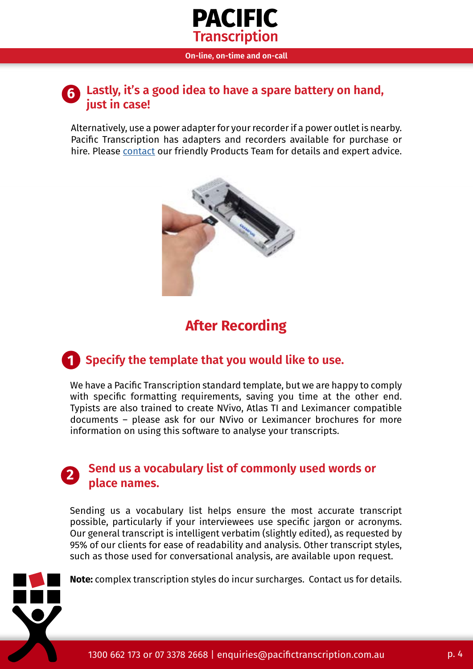

#### **Lastly, it's a good idea to have a spare battery on hand, 6 just in case!**

Alternatively, use a power adapter for your recorder if a power outlet is nearby. Pacific Transcription has adapters and recorders available for purchase or hire. Please [contact](https://www.pacifictranscription.com.au/contacting-products-team/) our friendly Products Team for details and expert advice.



### **After Recording**

### **1 Specify the template that you would like to use.**

We have a Pacific Transcription standard template, but we are happy to comply with specific formatting requirements, saving you time at the other end. Typists are also trained to create NVivo, Atlas TI and Leximancer compatible documents – please ask for our NVivo or Leximancer brochures for more information on using this software to analyse your transcripts.

#### **Send us a vocabulary list of commonly used words or place names.**

Sending us a vocabulary list helps ensure the most accurate transcript possible, particularly if your interviewees use specific jargon or acronyms. Our general transcript is intelligent verbatim (slightly edited), as requested by 95% of our clients for ease of readability and analysis. Other transcript styles, such as those used for conversational analysis, are available upon request.

**Note:** complex transcription styles do incur surcharges. Contact us for details.